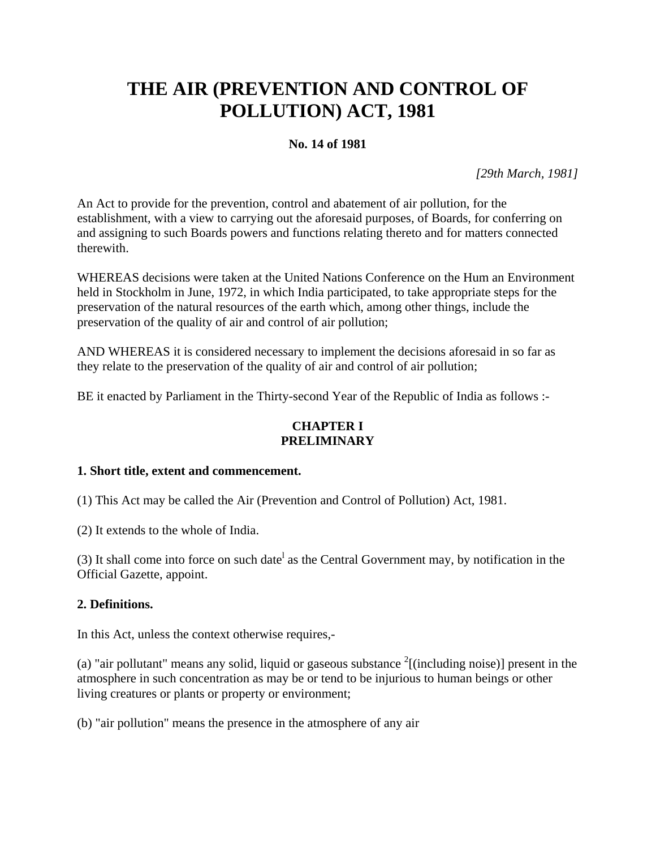# **THE AIR (PREVENTION AND CONTROL OF POLLUTION) ACT, 1981**

# **No. 14 of 1981**

*[29th March, 1981]* 

An Act to provide for the prevention, control and abatement of air pollution, for the establishment, with a view to carrying out the aforesaid purposes, of Boards, for conferring on and assigning to such Boards powers and functions relating thereto and for matters connected therewith.

WHEREAS decisions were taken at the United Nations Conference on the Hum an Environment held in Stockholm in June, 1972, in which India participated, to take appropriate steps for the preservation of the natural resources of the earth which, among other things, include the preservation of the quality of air and control of air pollution;

AND WHEREAS it is considered necessary to implement the decisions aforesaid in so far as they relate to the preservation of the quality of air and control of air pollution;

BE it enacted by Parliament in the Thirty-second Year of the Republic of India as follows :-

# **CHAPTER I PRELIMINARY**

# **1. Short title, extent and commencement.**

(1) This Act may be called the Air (Prevention and Control of Pollution) Act, 1981.

(2) It extends to the whole of India.

(3) It shall come into force on such date<sup>1</sup> as the Central Government may, by notification in the Official Gazette, appoint.

# **2. Definitions.**

In this Act, unless the context otherwise requires,-

(a) "air pollutant" means any solid, liquid or gaseous substance  $2$ [(including noise)] present in the atmosphere in such concentration as may be or tend to be injurious to human beings or other living creatures or plants or property or environment;

(b) "air pollution" means the presence in the atmosphere of any air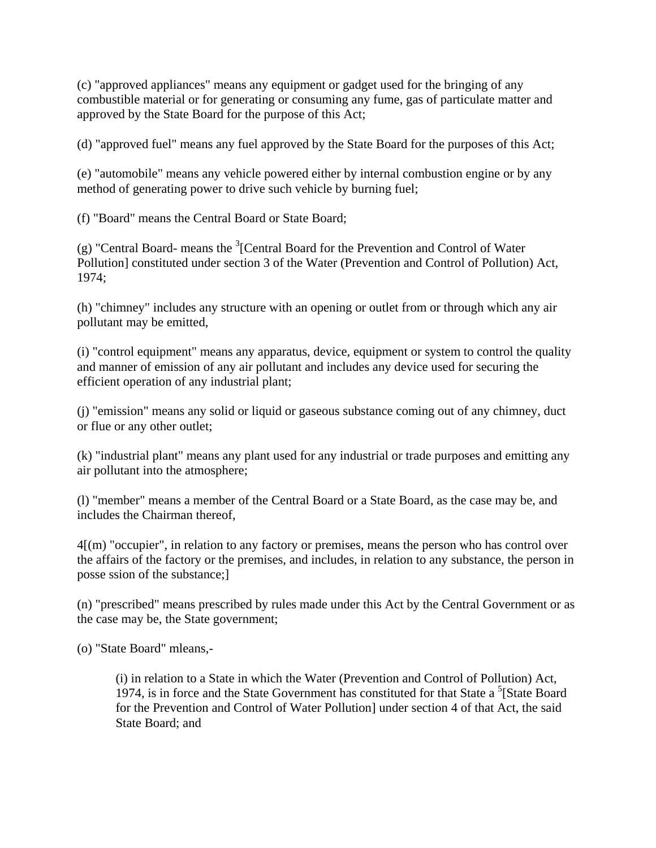(c) "approved appliances" means any equipment or gadget used for the bringing of any combustible material or for generating or consuming any fume, gas of particulate matter and approved by the State Board for the purpose of this Act;

(d) "approved fuel" means any fuel approved by the State Board for the purposes of this Act;

(e) "automobile" means any vehicle powered either by internal combustion engine or by any method of generating power to drive such vehicle by burning fuel;

(f) "Board" means the Central Board or State Board;

(g) "Central Board- means the  $3$ [Central Board for the Prevention and Control of Water Pollution] constituted under section 3 of the Water (Prevention and Control of Pollution) Act, 1974;

(h) "chimney" includes any structure with an opening or outlet from or through which any air pollutant may be emitted,

(i) "control equipment" means any apparatus, device, equipment or system to control the quality and manner of emission of any air pollutant and includes any device used for securing the efficient operation of any industrial plant;

(j) "emission" means any solid or liquid or gaseous substance coming out of any chimney, duct or flue or any other outlet;

(k) "industrial plant" means any plant used for any industrial or trade purposes and emitting any air pollutant into the atmosphere;

(l) "member" means a member of the Central Board or a State Board, as the case may be, and includes the Chairman thereof,

4[(m) "occupier", in relation to any factory or premises, means the person who has control over the affairs of the factory or the premises, and includes, in relation to any substance, the person in posse ssion of the substance;]

(n) "prescribed" means prescribed by rules made under this Act by the Central Government or as the case may be, the State government;

(o) "State Board" mleans,-

(i) in relation to a State in which the Water (Prevention and Control of Pollution) Act, 1974, is in force and the State Government has constituted for that State a  ${}^{5}$ [State Board for the Prevention and Control of Water Pollution] under section 4 of that Act, the said State Board; and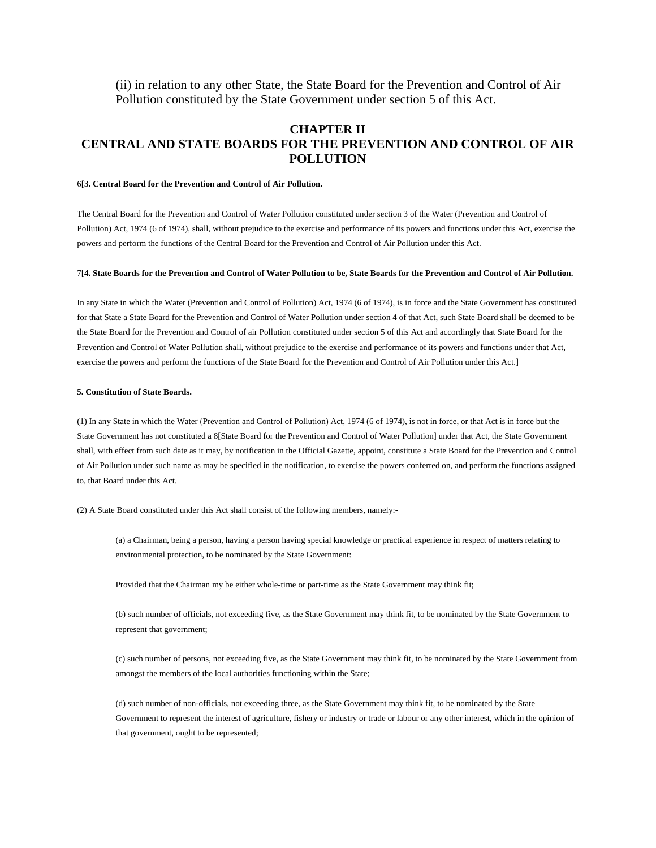(ii) in relation to any other State, the State Board for the Prevention and Control of Air Pollution constituted by the State Government under section 5 of this Act.

# **CHAPTER II CENTRAL AND STATE BOARDS FOR THE PREVENTION AND CONTROL OF AIR POLLUTION**

#### 6[**3. Central Board for the Prevention and Control of Air Pollution.**

The Central Board for the Prevention and Control of Water Pollution constituted under section 3 of the Water (Prevention and Control of Pollution) Act, 1974 (6 of 1974), shall, without prejudice to the exercise and performance of its powers and functions under this Act, exercise the powers and perform the functions of the Central Board for the Prevention and Control of Air Pollution under this Act.

#### 7[**4. State Boards for the Prevention and Control of Water Pollution to be, State Boards for the Prevention and Control of Air Pollution.**

In any State in which the Water (Prevention and Control of Pollution) Act, 1974 (6 of 1974), is in force and the State Government has constituted for that State a State Board for the Prevention and Control of Water Pollution under section 4 of that Act, such State Board shall be deemed to be the State Board for the Prevention and Control of air Pollution constituted under section 5 of this Act and accordingly that State Board for the Prevention and Control of Water Pollution shall, without prejudice to the exercise and performance of its powers and functions under that Act, exercise the powers and perform the functions of the State Board for the Prevention and Control of Air Pollution under this Act.]

#### **5. Constitution of State Boards.**

(1) In any State in which the Water (Prevention and Control of Pollution) Act, 1974 (6 of 1974), is not in force, or that Act is in force but the State Government has not constituted a 8[State Board for the Prevention and Control of Water Pollution] under that Act, the State Government shall, with effect from such date as it may, by notification in the Official Gazette, appoint, constitute a State Board for the Prevention and Control of Air Pollution under such name as may be specified in the notification, to exercise the powers conferred on, and perform the functions assigned to, that Board under this Act.

(2) A State Board constituted under this Act shall consist of the following members, namely:-

(a) a Chairman, being a person, having a person having special knowledge or practical experience in respect of matters relating to environmental protection, to be nominated by the State Government:

Provided that the Chairman my be either whole-time or part-time as the State Government may think fit;

(b) such number of officials, not exceeding five, as the State Government may think fit, to be nominated by the State Government to represent that government;

(c) such number of persons, not exceeding five, as the State Government may think fit, to be nominated by the State Government from amongst the members of the local authorities functioning within the State;

(d) such number of non-officials, not exceeding three, as the State Government may think fit, to be nominated by the State Government to represent the interest of agriculture, fishery or industry or trade or labour or any other interest, which in the opinion of that government, ought to be represented;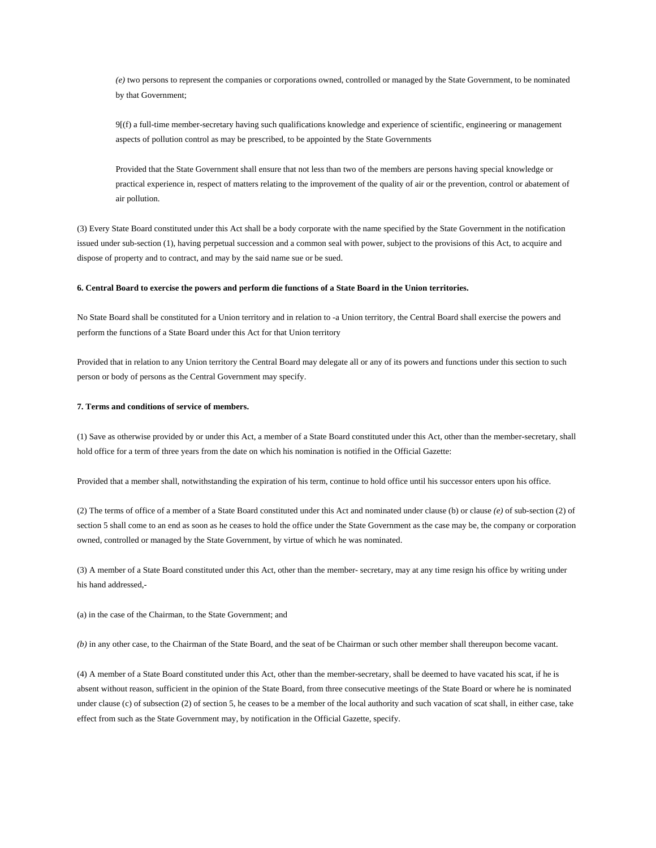*(e)* two persons to represent the companies or corporations owned, controlled or managed by the State Government, to be nominated by that Government;

9[(f) a full-time member-secretary having such qualifications knowledge and experience of scientific, engineering or management aspects of pollution control as may be prescribed, to be appointed by the State Governments

Provided that the State Government shall ensure that not less than two of the members are persons having special knowledge or practical experience in, respect of matters relating to the improvement of the quality of air or the prevention, control or abatement of air pollution.

(3) Every State Board constituted under this Act shall be a body corporate with the name specified by the State Government in the notification issued under sub-section (1), having perpetual succession and a common seal with power, subject to the provisions of this Act, to acquire and dispose of property and to contract, and may by the said name sue or be sued.

#### **6. Central Board to exercise the powers and perform die functions of a State Board in the Union territories.**

No State Board shall be constituted for a Union territory and in relation to -a Union territory, the Central Board shall exercise the powers and perform the functions of a State Board under this Act for that Union territory

Provided that in relation to any Union territory the Central Board may delegate all or any of its powers and functions under this section to such person or body of persons as the Central Government may specify.

#### **7. Terms and conditions of service of members.**

(1) Save as otherwise provided by or under this Act, a member of a State Board constituted under this Act, other than the member-secretary, shall hold office for a term of three years from the date on which his nomination is notified in the Official Gazette:

Provided that a member shall, notwithstanding the expiration of his term, continue to hold office until his successor enters upon his office.

(2) The terms of office of a member of a State Board constituted under this Act and nominated under clause (b) or clause *(e)* of sub-section (2) of section 5 shall come to an end as soon as he ceases to hold the office under the State Government as the case may be, the company or corporation owned, controlled or managed by the State Government, by virtue of which he was nominated.

(3) A member of a State Board constituted under this Act, other than the member- secretary, may at any time resign his office by writing under his hand addressed,-

(a) in the case of the Chairman, to the State Government; and

*(b)* in any other case, to the Chairman of the State Board, and the seat of be Chairman or such other member shall thereupon become vacant.

(4) A member of a State Board constituted under this Act, other than the member-secretary, shall be deemed to have vacated his scat, if he is absent without reason, sufficient in the opinion of the State Board, from three consecutive meetings of the State Board or where he is nominated under clause (c) of subsection (2) of section 5, he ceases to be a member of the local authority and such vacation of scat shall, in either case, take effect from such as the State Government may, by notification in the Official Gazette, specify.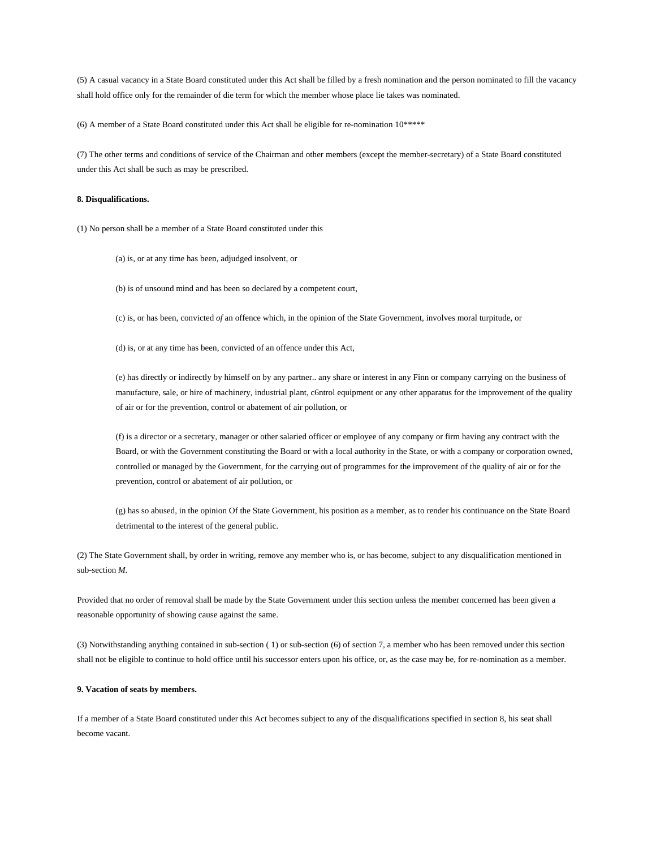(5) A casual vacancy in a State Board constituted under this Act shall be filled by a fresh nomination and the person nominated to fill the vacancy shall hold office only for the remainder of die term for which the member whose place lie takes was nominated.

(6) A member of a State Board constituted under this Act shall be eligible for re-nomination 10\*\*\*\*\*

(7) The other terms and conditions of service of the Chairman and other members (except the member-secretary) of a State Board constituted under this Act shall be such as may be prescribed.

#### **8. Disqualifications.**

(1) No person shall be a member of a State Board constituted under this

(a) is, or at any time has been, adjudged insolvent, or

(b) is of unsound mind and has been so declared by a competent court,

(c) is, or has been, convicted *of* an offence which, in the opinion of the State Government, involves moral turpitude, or

(d) is, or at any time has been, convicted of an offence under this Act,

(e) has directly or indirectly by himself on by any partner.. any share or interest in any Finn or company carrying on the business of manufacture, sale, or hire of machinery, industrial plant, c6ntrol equipment or any other apparatus for the improvement of the quality of air or for the prevention, control or abatement of air pollution, or

(f) is a director or a secretary, manager or other salaried officer or employee of any company or firm having any contract with the Board, or with the Government constituting the Board or with a local authority in the State, or with a company or corporation owned, controlled or managed by the Government, for the carrying out of programmes for the improvement of the quality of air or for the prevention, control or abatement of air pollution, or

(g) has so abused, in the opinion Of the State Government, his position as a member, as to render his continuance on the State Board detrimental to the interest of the general public.

(2) The State Government shall, by order in writing, remove any member who is, or has become, subject to any disqualification mentioned in sub-section *M.* 

Provided that no order of removal shall be made by the State Government under this section unless the member concerned has been given a reasonable opportunity of showing cause against the same.

(3) Notwithstanding anything contained in sub-section ( 1) or sub-section (6) of section 7, a member who has been removed under this section shall not be eligible to continue to hold office until his successor enters upon his office, or, as the case may be, for re-nomination as a member.

#### **9. Vacation of seats by members.**

If a member of a State Board constituted under this Act becomes subject to any of the disqualifications specified in section 8, his seat shall become vacant.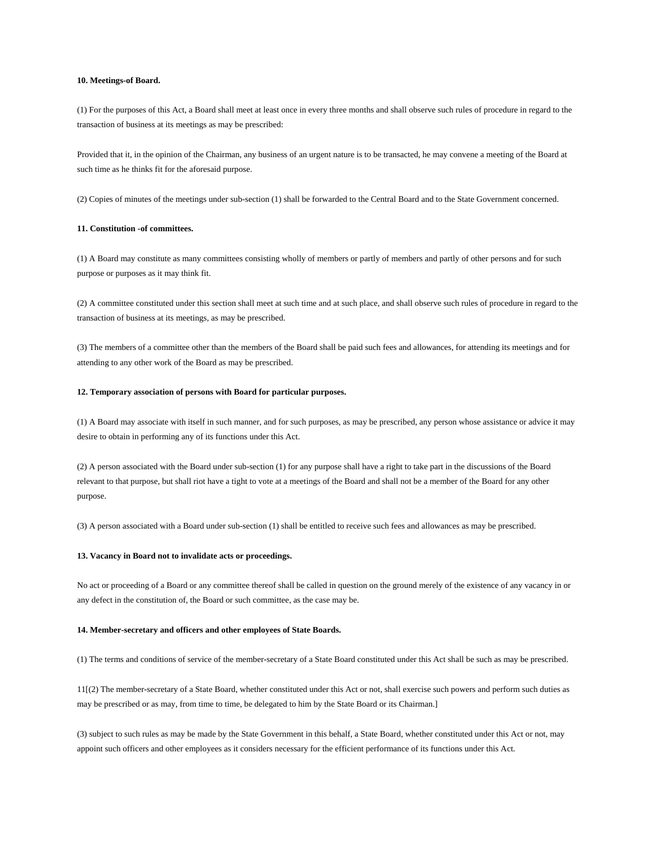#### **10. Meetings-of Board.**

(1) For the purposes of this Act, a Board shall meet at least once in every three months and shall observe such rules of procedure in regard to the transaction of business at its meetings as may be prescribed:

Provided that it, in the opinion of the Chairman, any business of an urgent nature is to be transacted, he may convene a meeting of the Board at such time as he thinks fit for the aforesaid purpose.

(2) Copies of minutes of the meetings under sub-section (1) shall be forwarded to the Central Board and to the State Government concerned.

## **11. Constitution -of committees.**

(1) A Board may constitute as many committees consisting wholly of members or partly of members and partly of other persons and for such purpose or purposes as it may think fit.

(2) A committee constituted under this section shall meet at such time and at such place, and shall observe such rules of procedure in regard to the transaction of business at its meetings, as may be prescribed.

(3) The members of a committee other than the members of the Board shall be paid such fees and allowances, for attending its meetings and for attending to any other work of the Board as may be prescribed.

#### **12. Temporary association of persons with Board for particular purposes.**

(1) A Board may associate with itself in such manner, and for such purposes, as may be prescribed, any person whose assistance or advice it may desire to obtain in performing any of its functions under this Act.

(2) A person associated with the Board under sub-section (1) for any purpose shall have a right to take part in the discussions of the Board relevant to that purpose, but shall riot have a tight to vote at a meetings of the Board and shall not be a member of the Board for any other purpose.

(3) A person associated with a Board under sub-section (1) shall be entitled to receive such fees and allowances as may be prescribed.

#### **13. Vacancy in Board not to invalidate acts or proceedings.**

No act or proceeding of a Board or any committee thereof shall be called in question on the ground merely of the existence of any vacancy in or any defect in the constitution of, the Board or such committee, as the case may be.

#### **14. Member-secretary and officers and other employees of State Boards.**

(1) The terms and conditions of service of the member-secretary of a State Board constituted under this Act shall be such as may be prescribed.

11[(2) The member-secretary of a State Board, whether constituted under this Act or not, shall exercise such powers and perform such duties as may be prescribed or as may, from time to time, be delegated to him by the State Board or its Chairman.]

(3) subject to such rules as may be made by the State Government in this behalf, a State Board, whether constituted under this Act or not, may appoint such officers and other employees as it considers necessary for the efficient performance of its functions under this Act.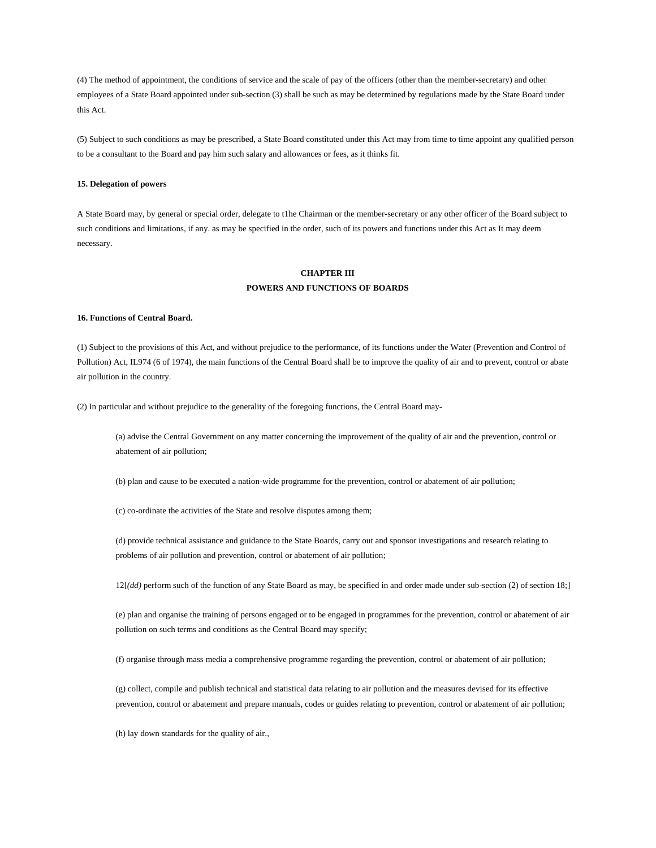(4) The method of appointment, the conditions of service and the scale of pay of the officers (other than the member-secretary) and other employees of a State Board appointed under sub-section (3) shall be such as may be determined by regulations made by the State Board under this Act.

(5) Subject to such conditions as may be prescribed, a State Board constituted under this Act may from time to time appoint any qualified person to be a consultant to the Board and pay him such salary and allowances or fees, as it thinks fit.

#### **15. Delegation of powers**

A State Board may, by general or special order, delegate to t1he Chairman or the member-secretary or any other officer of the Board subject to such conditions and limitations, if any. as may be specified in the order, such of its powers and functions under this Act as It may deem necessary.

# **CHAPTER III POWERS AND FUNCTIONS OF BOARDS**

#### **16. Functions of Central Board.**

(1) Subject to the provisions of this Act, and without prejudice to the performance, of its functions under the Water (Prevention and Control of Pollution) Act, IL974 (6 of 1974), the main functions of the Central Board shall be to improve the quality of air and to prevent, control or abate air pollution in the country.

(2) In particular and without prejudice to the generality of the foregoing functions, the Central Board may-

(a) advise the Central Government on any matter concerning the improvement of the quality of air and the prevention, control or abatement of air pollution;

(b) plan and cause to be executed a nation-wide programme for the prevention, control or abatement of air pollution;

(c) co-ordinate the activities of the State and resolve disputes among them;

(d) provide technical assistance and guidance to the State Boards, carry out and sponsor investigations and research relating to problems of air pollution and prevention, control or abatement of air pollution;

12[*(dd)* perform such of the function of any State Board as may, be specified in and order made under sub-section (2) of section 18;]

(e) plan and organise the training of persons engaged or to be engaged in programmes for the prevention, control or abatement of air pollution on such terms and conditions as the Central Board may specify;

(f) organise through mass media a comprehensive programme regarding the prevention, control or abatement of air pollution;

(g) collect, compile and publish technical and statistical data relating to air pollution and the measures devised for its effective prevention, control or abatement and prepare manuals, codes or guides relating to prevention, control or abatement of air pollution;

(h) lay down standards for the quality of air.,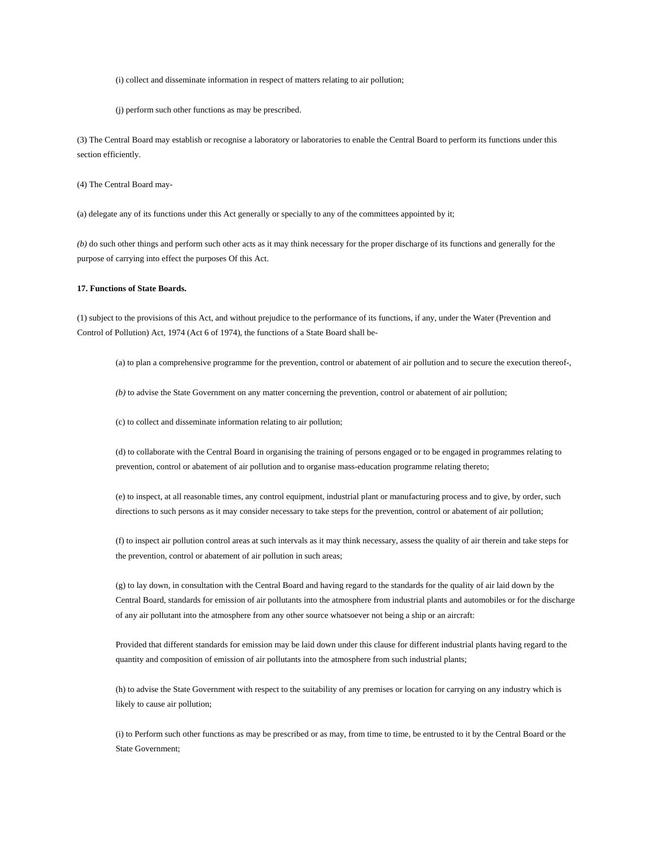(i) collect and disseminate information in respect of matters relating to air pollution;

(j) perform such other functions as may be prescribed.

(3) The Central Board may establish or recognise a laboratory or laboratories to enable the Central Board to perform its functions under this section efficiently.

(4) The Central Board may-

(a) delegate any of its functions under this Act generally or specially to any of the committees appointed by it;

*(b)* do such other things and perform such other acts as it may think necessary for the proper discharge of its functions and generally for the purpose of carrying into effect the purposes Of this Act.

### **17. Functions of State Boards.**

(1) subject to the provisions of this Act, and without prejudice to the performance of its functions, if any, under the Water (Prevention and Control of Pollution) Act, 1974 (Act 6 of 1974), the functions of a State Board shall be-

(a) to plan a comprehensive programme for the prevention, control or abatement of air pollution and to secure the execution thereof-,

*(b)* to advise the State Government on any matter concerning the prevention, control or abatement of air pollution;

(c) to collect and disseminate information relating to air pollution;

(d) to collaborate with the Central Board in organising the training of persons engaged or to be engaged in programmes relating to prevention, control or abatement of air pollution and to organise mass-education programme relating thereto;

(e) to inspect, at all reasonable times, any control equipment, industrial plant or manufacturing process and to give, by order, such directions to such persons as it may consider necessary to take steps for the prevention, control or abatement of air pollution;

(f) to inspect air pollution control areas at such intervals as it may think necessary, assess the quality of air therein and take steps for the prevention, control or abatement of air pollution in such areas;

(g) to lay down, in consultation with the Central Board and having regard to the standards for the quality of air laid down by the Central Board, standards for emission of air pollutants into the atmosphere from industrial plants and automobiles or for the discharge of any air pollutant into the atmosphere from any other source whatsoever not being a ship or an aircraft:

Provided that different standards for emission may be laid down under this clause for different industrial plants having regard to the quantity and composition of emission of air pollutants into the atmosphere from such industrial plants;

(h) to advise the State Government with respect to the suitability of any premises or location for carrying on any industry which is likely to cause air pollution;

(i) to Perform such other functions as may be prescribed or as may, from time to time, be entrusted to it by the Central Board or the State Government;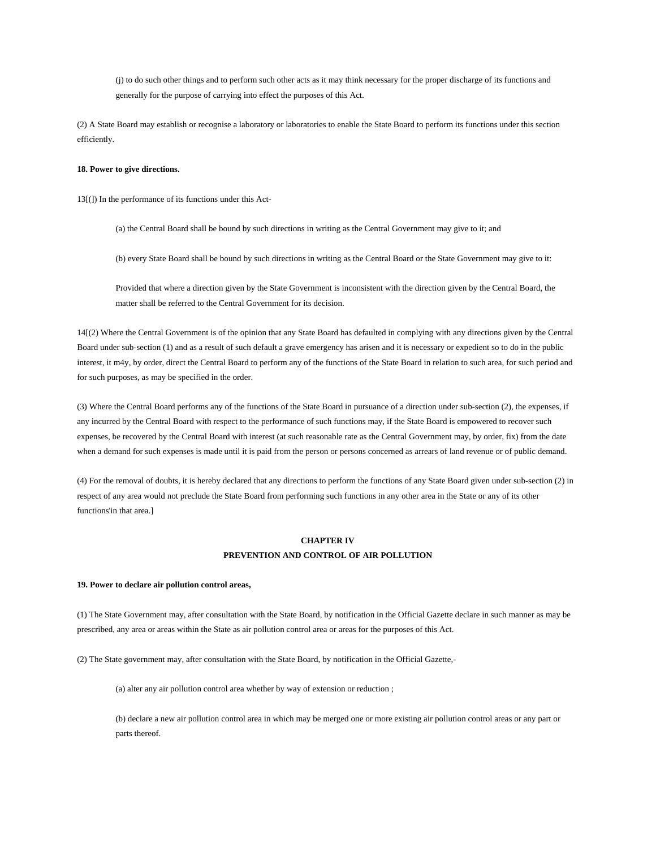(j) to do such other things and to perform such other acts as it may think necessary for the proper discharge of its functions and generally for the purpose of carrying into effect the purposes of this Act.

(2) A State Board may establish or recognise a laboratory or laboratories to enable the State Board to perform its functions under this section efficiently.

### **18. Power to give directions.**

13[(]) In the performance of its functions under this Act-

(a) the Central Board shall be bound by such directions in writing as the Central Government may give to it; and

(b) every State Board shall be bound by such directions in writing as the Central Board or the State Government may give to it:

Provided that where a direction given by the State Government is inconsistent with the direction given by the Central Board, the matter shall be referred to the Central Government for its decision.

14[(2) Where the Central Government is of the opinion that any State Board has defaulted in complying with any directions given by the Central Board under sub-section (1) and as a result of such default a grave emergency has arisen and it is necessary or expedient so to do in the public interest, it m4y, by order, direct the Central Board to perform any of the functions of the State Board in relation to such area, for such period and for such purposes, as may be specified in the order.

(3) Where the Central Board performs any of the functions of the State Board in pursuance of a direction under sub-section (2), the expenses, if any incurred by the Central Board with respect to the performance of such functions may, if the State Board is empowered to recover such expenses, be recovered by the Central Board with interest (at such reasonable rate as the Central Government may, by order, fix) from the date when a demand for such expenses is made until it is paid from the person or persons concerned as arrears of land revenue or of public demand.

(4) For the removal of doubts, it is hereby declared that any directions to perform the functions of any State Board given under sub-section (2) in respect of any area would not preclude the State Board from performing such functions in any other area in the State or any of its other functions'in that area.]

# **CHAPTER IV PREVENTION AND CONTROL OF AIR POLLUTION**

#### **19. Power to declare air pollution control areas,**

(1) The State Government may, after consultation with the State Board, by notification in the Official Gazette declare in such manner as may be prescribed, any area or areas within the State as air pollution control area or areas for the purposes of this Act.

(2) The State government may, after consultation with the State Board, by notification in the Official Gazette,-

(a) alter any air pollution control area whether by way of extension or reduction ;

(b) declare a new air pollution control area in which may be merged one or more existing air pollution control areas or any part or parts thereof.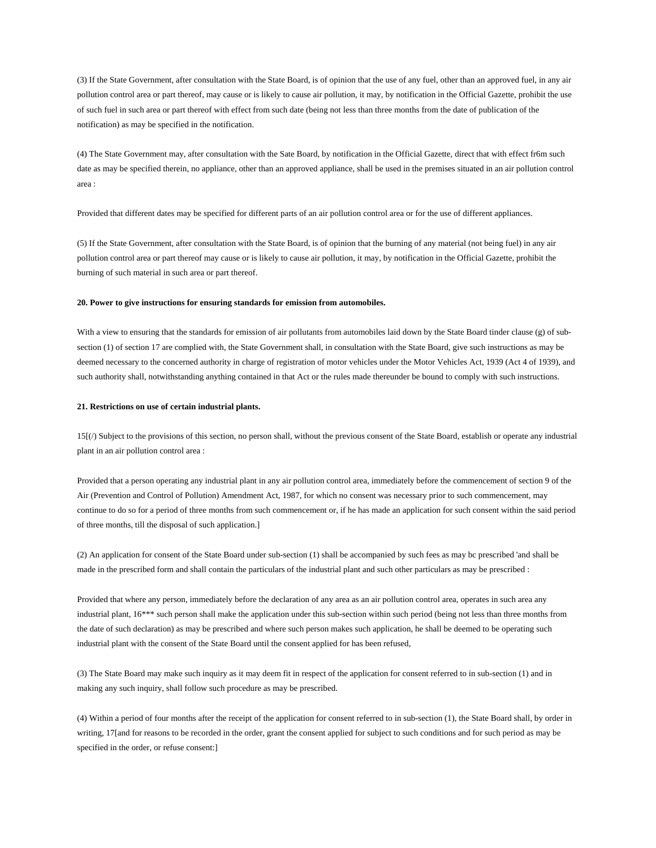(3) If the State Government, after consultation with the State Board, is of opinion that the use of any fuel, other than an approved fuel, in any air pollution control area or part thereof, may cause or is likely to cause air pollution, it may, by notification in the Official Gazette, prohibit the use of such fuel in such area or part thereof with effect from such date (being not less than three months from the date of publication of the notification) as may be specified in the notification.

(4) The State Government may, after consultation with the Sate Board, by notification in the Official Gazette, direct that with effect fr6m such date as may be specified therein, no appliance, other than an approved appliance, shall be used in the premises situated in an air pollution control area :

Provided that different dates may be specified for different parts of an air pollution control area or for the use of different appliances.

(5) If the State Government, after consultation with the State Board, is of opinion that the burning of any material (not being fuel) in any air pollution control area or part thereof may cause or is likely to cause air pollution, it may, by notification in the Official Gazette, prohibit the burning of such material in such area or part thereof.

#### **20. Power to give instructions for ensuring standards for emission from automobiles.**

With a view to ensuring that the standards for emission of air pollutants from automobiles laid down by the State Board tinder clause (g) of subsection (1) of section 17 are complied with, the State Government shall, in consultation with the State Board, give such instructions as may be deemed necessary to the concerned authority in charge of registration of motor vehicles under the Motor Vehicles Act, 1939 (Act 4 of 1939), and such authority shall, notwithstanding anything contained in that Act or the rules made thereunder be bound to comply with such instructions.

#### **21. Restrictions on use of certain industrial plants.**

15[(/) Subject to the provisions of this section, no person shall, without the previous consent of the State Board, establish or operate any industrial plant in an air pollution control area :

Provided that a person operating any industrial plant in any air pollution control area, immediately before the commencement of section 9 of the Air (Prevention and Control of Pollution) Amendment Act, 1987, for which no consent was necessary prior to such commencement, may continue to do so for a period of three months from such commencement or, if he has made an application for such consent within the said period of three months, till the disposal of such application.]

(2) An application for consent of the State Board under sub-section (1) shall be accompanied by such fees as may bc prescribed 'and shall be made in the prescribed form and shall contain the particulars of the industrial plant and such other particulars as may be prescribed :

Provided that where any person, immediately before the declaration of any area as an air pollution control area, operates in such area any industrial plant, 16\*\*\* such person shall make the application under this sub-section within such period (being not less than three months from the date of such declaration) as may be prescribed and where such person makes such application, he shall be deemed to be operating such industrial plant with the consent of the State Board until the consent applied for has been refused,

(3) The State Board may make such inquiry as it may deem fit in respect of the application for consent referred to in sub-section (1) and in making any such inquiry, shall follow such procedure as may be prescribed.

(4) Within a period of four months after the receipt of the application for consent referred to in sub-section (1), the State Board shall, by order in writing, 17[and for reasons to be recorded in the order, grant the consent applied for subject to such conditions and for such period as may be specified in the order, or refuse consent:]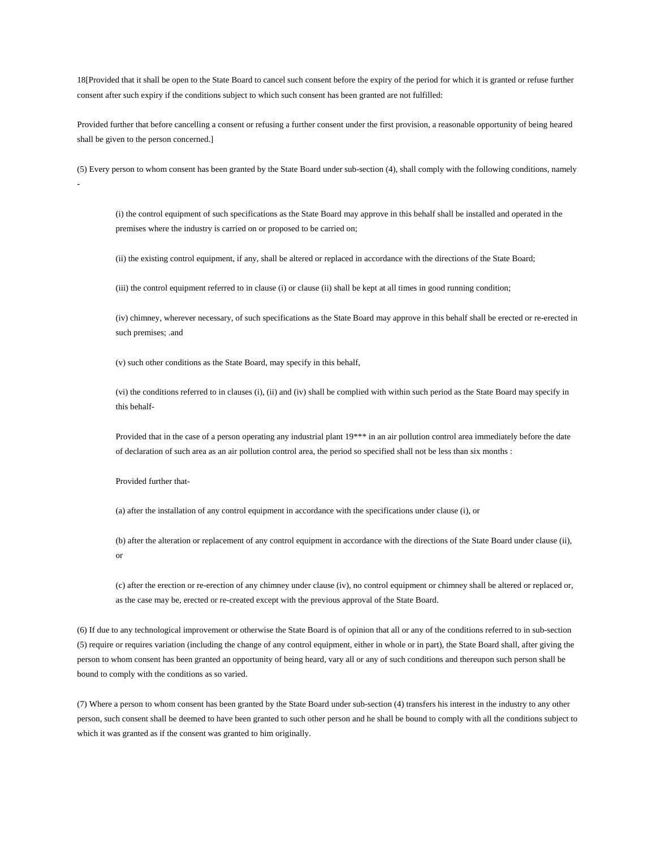18[Provided that it shall be open to the State Board to cancel such consent before the expiry of the period for which it is granted or refuse further consent after such expiry if the conditions subject to which such consent has been granted are not fulfilled:

Provided further that before cancelling a consent or refusing a further consent under the first provision, a reasonable opportunity of being heared shall be given to the person concerned.]

(5) Every person to whom consent has been granted by the State Board under sub-section (4), shall comply with the following conditions, namely

(i) the control equipment of such specifications as the State Board may approve in this behalf shall be installed and operated in the premises where the industry is carried on or proposed to be carried on;

(ii) the existing control equipment, if any, shall be altered or replaced in accordance with the directions of the State Board;

(iii) the control equipment referred to in clause (i) or clause (ii) shall be kept at all times in good running condition;

(iv) chimney, wherever necessary, of such specifications as the State Board may approve in this behalf shall be erected or re-erected in such premises; .and

(v) such other conditions as the State Board, may specify in this behalf,

(vi) the conditions referred to in clauses (i), (ii) and (iv) shall be complied with within such period as the State Board may specify in this behalf-

Provided that in the case of a person operating any industrial plant 19\*\*\* in an air pollution control area immediately before the date of declaration of such area as an air pollution control area, the period so specified shall not be less than six months :

Provided further that-

-

(a) after the installation of any control equipment in accordance with the specifications under clause (i), or

(b) after the alteration or replacement of any control equipment in accordance with the directions of the State Board under clause (ii), or

(c) after the erection or re-erection of any chimney under clause (iv), no control equipment or chimney shall be altered or replaced or, as the case may be, erected or re-created except with the previous approval of the State Board.

(6) If due to any technological improvement or otherwise the State Board is of opinion that all or any of the conditions referred to in sub-section (5) require or requires variation (including the change of any control equipment, either in whole or in part), the State Board shall, after giving the person to whom consent has been granted an opportunity of being heard, vary all or any of such conditions and thereupon such person shall be bound to comply with the conditions as so varied.

(7) Where a person to whom consent has been granted by the State Board under sub-section (4) transfers his interest in the industry to any other person, such consent shall be deemed to have been granted to such other person and he shall be bound to comply with all the conditions subject to which it was granted as if the consent was granted to him originally.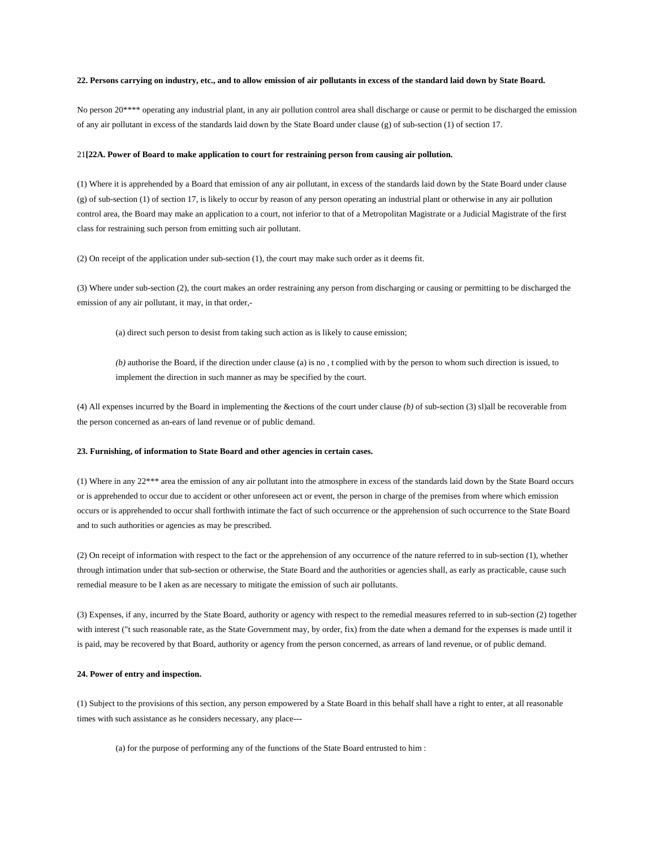#### **22. Persons carrying on industry, etc., and to allow emission of air pollutants in excess of the standard laid down by State Board.**

No person 20\*\*\*\* operating any industrial plant, in any air pollution control area shall discharge or cause or permit to be discharged the emission of any air pollutant in excess of the standards laid down by the State Board under clause (g) of sub-section (1) of section 17.

#### 21**[22A. Power of Board to make application to court for restraining person from causing air pollution.**

(1) Where it is apprehended by a Board that emission of any air pollutant, in excess of the standards laid down by the State Board under clause (g) of sub-section (1) of section 17, is likely to occur by reason of any person operating an industrial plant or otherwise in any air pollution control area, the Board may make an application to a court, not inferior to that of a Metropolitan Magistrate or a Judicial Magistrate of the first class for restraining such person from emitting such air pollutant.

(2) On receipt of the application under sub-section (1), the court may make such order as it deems fit.

(3) Where under sub-section (2), the court makes an order restraining any person from discharging or causing or permitting to be discharged the emission of any air pollutant, it may, in that order,-

(a) direct such person to desist from taking such action as is likely to cause emission;

*(b)* authorise the Board, if the direction under clause (a) is no , t complied with by the person to whom such direction is issued, to implement the direction in such manner as may be specified by the court.

(4) All expenses incurred by the Board in implementing the &ections of the court under clause *(b)* of sub-section (3) sl)all be recoverable from the person concerned as an-ears of land revenue or of public demand.

#### **23. Furnishing, of information to State Board and other agencies in certain cases.**

(1) Where in any 22\*\*\* area the emission of any air pollutant into the atmosphere in excess of the standards laid down by the State Board occurs or is apprehended to occur due to accident or other unforeseen act or event, the person in charge of the premises from where which emission occurs or is apprehended to occur shall forthwith intimate the fact of such occurrence or the apprehension of such occurrence to the State Board and to such authorities or agencies as may be prescribed.

(2) On receipt of information with respect to the fact or the apprehension of any occurrence of the nature referred to in sub-section (1), whether through intimation under that sub-section or otherwise, the State Board and the authorities or agencies shall, as early as practicable, cause such remedial measure to be I aken as are necessary to mitigate the emission of such air pollutants.

(3) Expenses, if any, incurred by the State Board, authority or agency with respect to the remedial measures referred to in sub-section (2) together with interest ("t such reasonable rate, as the State Government may, by order, fix) from the date when a demand for the expenses is made until it is paid, may be recovered by that Board, authority or agency from the person concerned, as arrears of land revenue, or of public demand.

#### **24. Power of entry and inspection.**

(1) Subject to the provisions of this section, any person empowered by a State Board in this behalf shall have a right to enter, at all reasonable times with such assistance as he considers necessary, any place---

(a) for the purpose of performing any of the functions of the State Board entrusted to him :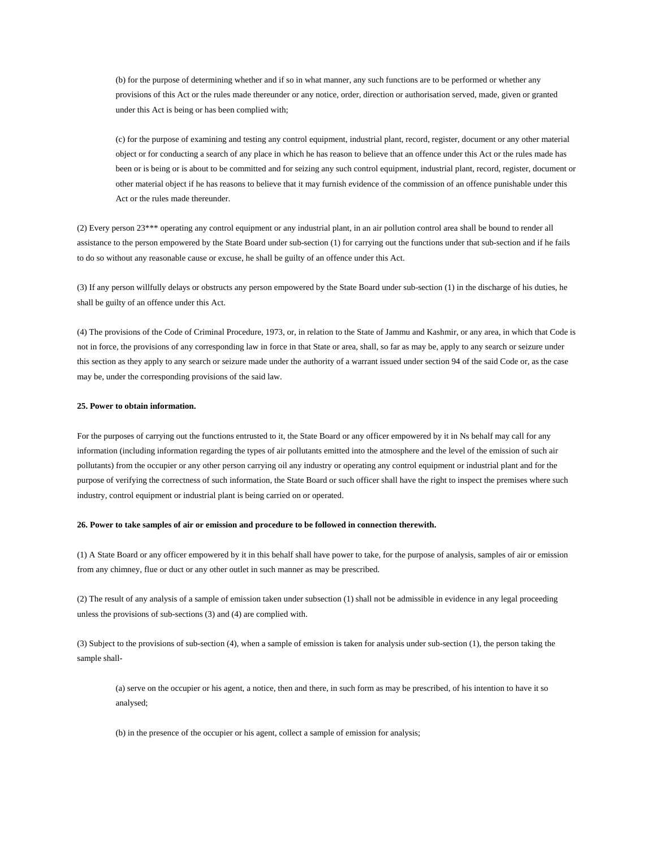(b) for the purpose of determining whether and if so in what manner, any such functions are to be performed or whether any provisions of this Act or the rules made thereunder or any notice, order, direction or authorisation served, made, given or granted under this Act is being or has been complied with;

(c) for the purpose of examining and testing any control equipment, industrial plant, record, register, document or any other material object or for conducting a search of any place in which he has reason to believe that an offence under this Act or the rules made has been or is being or is about to be committed and for seizing any such control equipment, industrial plant, record, register, document or other material object if he has reasons to believe that it may furnish evidence of the commission of an offence punishable under this Act or the rules made thereunder.

(2) Every person 23\*\*\* operating any control equipment or any industrial plant, in an air pollution control area shall be bound to render all assistance to the person empowered by the State Board under sub-section (1) for carrying out the functions under that sub-section and if he fails to do so without any reasonable cause or excuse, he shall be guilty of an offence under this Act.

(3) If any person willfully delays or obstructs any person empowered by the State Board under sub-section (1) in the discharge of his duties, he shall be guilty of an offence under this Act.

(4) The provisions of the Code of Criminal Procedure, 1973, or, in relation to the State of Jammu and Kashmir, or any area, in which that Code is not in force, the provisions of any corresponding law in force in that State or area, shall, so far as may be, apply to any search or seizure under this section as they apply to any search or seizure made under the authority of a warrant issued under section 94 of the said Code or, as the case may be, under the corresponding provisions of the said law.

#### **25. Power to obtain information.**

For the purposes of carrying out the functions entrusted to it, the State Board or any officer empowered by it in Ns behalf may call for any information (including information regarding the types of air pollutants emitted into the atmosphere and the level of the emission of such air pollutants) from the occupier or any other person carrying oil any industry or operating any control equipment or industrial plant and for the purpose of verifying the correctness of such information, the State Board or such officer shall have the right to inspect the premises where such industry, control equipment or industrial plant is being carried on or operated.

#### **26. Power to take samples of air or emission and procedure to be followed in connection therewith.**

(1) A State Board or any officer empowered by it in this behalf shall have power to take, for the purpose of analysis, samples of air or emission from any chimney, flue or duct or any other outlet in such manner as may be prescribed.

(2) The result of any analysis of a sample of emission taken under subsection (1) shall not be admissible in evidence in any legal proceeding unless the provisions of sub-sections (3) and (4) are complied with.

(3) Subject to the provisions of sub-section (4), when a sample of emission is taken for analysis under sub-section (1), the person taking the sample shall-

(a) serve on the occupier or his agent, a notice, then and there, in such form as may be prescribed, of his intention to have it so analysed;

(b) in the presence of the occupier or his agent, collect a sample of emission for analysis;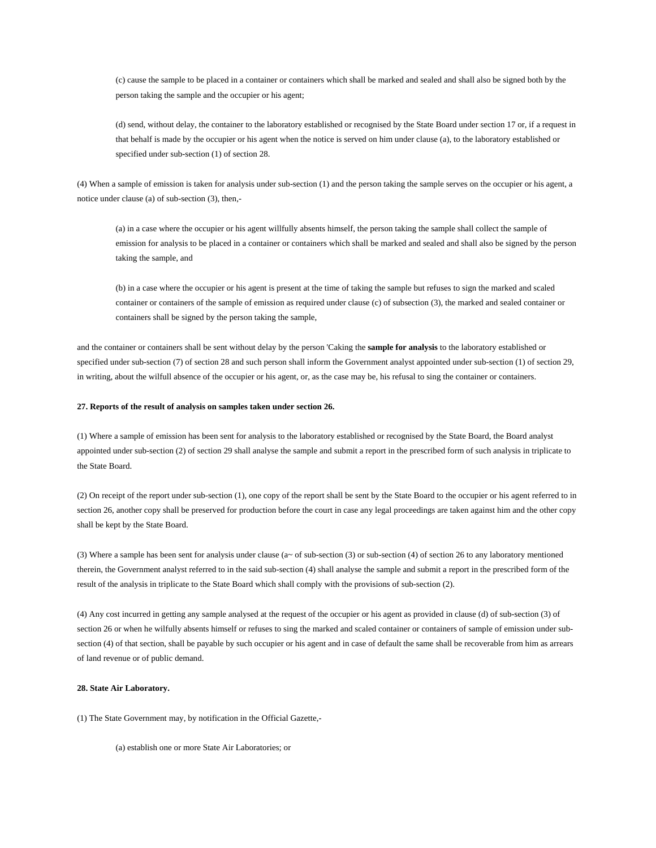(c) cause the sample to be placed in a container or containers which shall be marked and sealed and shall also be signed both by the person taking the sample and the occupier or his agent;

(d) send, without delay, the container to the laboratory established or recognised by the State Board under section 17 or, if a request in that behalf is made by the occupier or his agent when the notice is served on him under clause (a), to the laboratory established or specified under sub-section (1) of section 28.

(4) When a sample of emission is taken for analysis under sub-section (1) and the person taking the sample serves on the occupier or his agent, a notice under clause (a) of sub-section (3), then,-

(a) in a case where the occupier or his agent willfully absents himself, the person taking the sample shall collect the sample of emission for analysis to be placed in a container or containers which shall be marked and sealed and shall also be signed by the person taking the sample, and

(b) in a case where the occupier or his agent is present at the time of taking the sample but refuses to sign the marked and scaled container or containers of the sample of emission as required under clause (c) of subsection (3), the marked and sealed container or containers shall be signed by the person taking the sample,

and the container or containers shall be sent without delay by the person 'Caking the **sample for analysis** to the laboratory established or specified under sub-section (7) of section 28 and such person shall inform the Government analyst appointed under sub-section (1) of section 29, in writing, about the wilfull absence of the occupier or his agent, or, as the case may be, his refusal to sing the container or containers.

#### **27. Reports of the result of analysis on samples taken under section 26.**

(1) Where a sample of emission has been sent for analysis to the laboratory established or recognised by the State Board, the Board analyst appointed under sub-section (2) of section 29 shall analyse the sample and submit a report in the prescribed form of such analysis in triplicate to the State Board.

(2) On receipt of the report under sub-section (1), one copy of the report shall be sent by the State Board to the occupier or his agent referred to in section 26, another copy shall be preserved for production before the court in case any legal proceedings are taken against him and the other copy shall be kept by the State Board.

(3) Where a sample has been sent for analysis under clause (a~ of sub-section (3) or sub-section (4) of section 26 to any laboratory mentioned therein, the Government analyst referred to in the said sub-section (4) shall analyse the sample and submit a report in the prescribed form of the result of the analysis in triplicate to the State Board which shall comply with the provisions of sub-section (2).

(4) Any cost incurred in getting any sample analysed at the request of the occupier or his agent as provided in clause (d) of sub-section (3) of section 26 or when he wilfully absents himself or refuses to sing the marked and scaled container or containers of sample of emission under subsection (4) of that section, shall be payable by such occupier or his agent and in case of default the same shall be recoverable from him as arrears of land revenue or of public demand.

#### **28. State Air Laboratory.**

(1) The State Government may, by notification in the Official Gazette,-

(a) establish one or more State Air Laboratories; or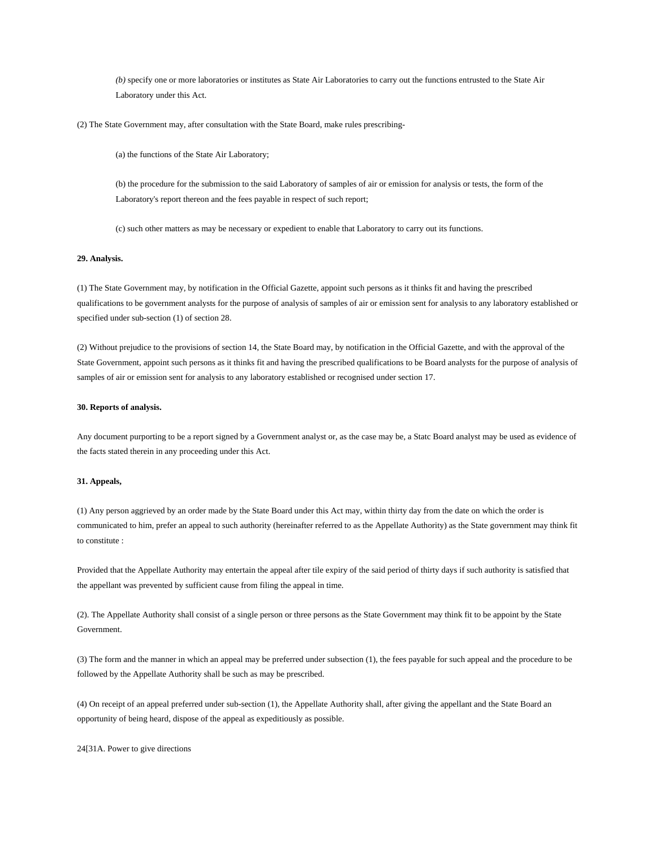*(b)* specify one or more laboratories or institutes as State Air Laboratories to carry out the functions entrusted to the State Air Laboratory under this Act.

(2) The State Government may, after consultation with the State Board, make rules prescribing-

(a) the functions of the State Air Laboratory;

(b) the procedure for the submission to the said Laboratory of samples of air or emission for analysis or tests, the form of the Laboratory's report thereon and the fees payable in respect of such report;

(c) such other matters as may be necessary or expedient to enable that Laboratory to carry out its functions.

#### **29. Analysis.**

(1) The State Government may, by notification in the Official Gazette, appoint such persons as it thinks fit and having the prescribed qualifications to be government analysts for the purpose of analysis of samples of air or emission sent for analysis to any laboratory established or specified under sub-section (1) of section 28.

(2) Without prejudice to the provisions of section 14, the State Board may, by notification in the Official Gazette, and with the approval of the State Government, appoint such persons as it thinks fit and having the prescribed qualifications to be Board analysts for the purpose of analysis of samples of air or emission sent for analysis to any laboratory established or recognised under section 17.

#### **30. Reports of analysis.**

Any document purporting to be a report signed by a Government analyst or, as the case may be, a Statc Board analyst may be used as evidence of the facts stated therein in any proceeding under this Act.

#### **31. Appeals,**

(1) Any person aggrieved by an order made by the State Board under this Act may, within thirty day from the date on which the order is communicated to him, prefer an appeal to such authority (hereinafter referred to as the Appellate Authority) as the State government may think fit to constitute :

Provided that the Appellate Authority may entertain the appeal after tile expiry of the said period of thirty days if such authority is satisfied that the appellant was prevented by sufficient cause from filing the appeal in time.

(2). The Appellate Authority shall consist of a single person or three persons as the State Government may think fit to be appoint by the State Government.

(3) The form and the manner in which an appeal may be preferred under subsection (1), the fees payable for such appeal and the procedure to be followed by the Appellate Authority shall be such as may be prescribed.

(4) On receipt of an appeal preferred under sub-section (1), the Appellate Authority shall, after giving the appellant and the State Board an opportunity of being heard, dispose of the appeal as expeditiously as possible.

24[31A. Power to give directions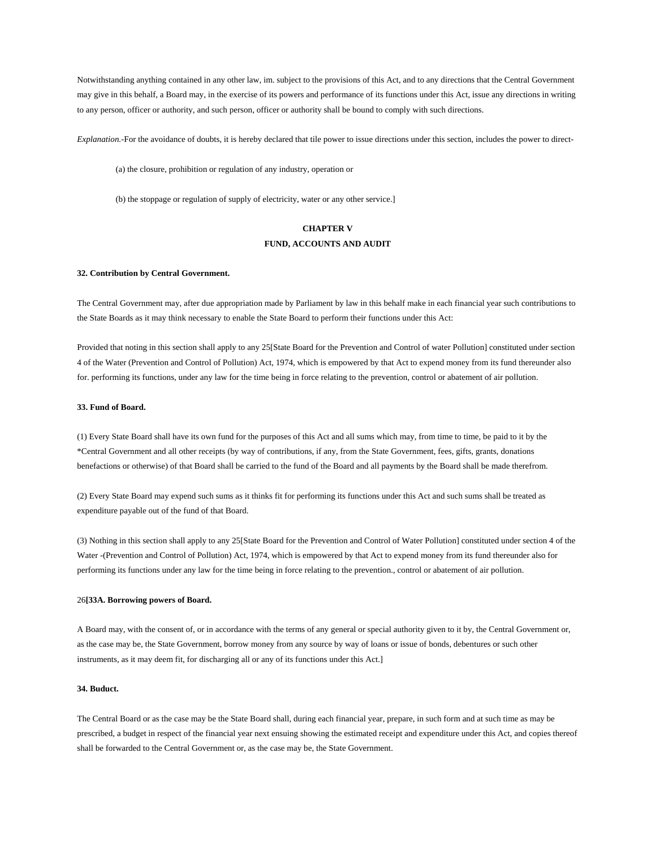Notwithstanding anything contained in any other law, im. subject to the provisions of this Act, and to any directions that the Central Government may give in this behalf, a Board may, in the exercise of its powers and performance of its functions under this Act, issue any directions in writing to any person, officer or authority, and such person, officer or authority shall be bound to comply with such directions.

*Explanation.-*For the avoidance of doubts, it is hereby declared that tile power to issue directions under this section, includes the power to direct-

(a) the closure, prohibition or regulation of any industry, operation or

(b) the stoppage or regulation of supply of electricity, water or any other service.]

# **CHAPTER V FUND, ACCOUNTS AND AUDIT**

#### **32. Contribution by Central Government.**

The Central Government may, after due appropriation made by Parliament by law in this behalf make in each financial year such contributions to the State Boards as it may think necessary to enable the State Board to perform their functions under this Act:

Provided that noting in this section shall apply to any 25[State Board for the Prevention and Control of water Pollution] constituted under section 4 of the Water (Prevention and Control of Pollution) Act, 1974, which is empowered by that Act to expend money from its fund thereunder also for. performing its functions, under any law for the time being in force relating to the prevention, control or abatement of air pollution.

#### **33. Fund of Board.**

(1) Every State Board shall have its own fund for the purposes of this Act and all sums which may, from time to time, be paid to it by the \*Central Government and all other receipts (by way of contributions, if any, from the State Government, fees, gifts, grants, donations benefactions or otherwise) of that Board shall be carried to the fund of the Board and all payments by the Board shall be made therefrom.

(2) Every State Board may expend such sums as it thinks fit for performing its functions under this Act and such sums shall be treated as expenditure payable out of the fund of that Board.

(3) Nothing in this section shall apply to any 25[State Board for the Prevention and Control of Water Pollution] constituted under section 4 of the Water -(Prevention and Control of Pollution) Act, 1974, which is empowered by that Act to expend money from its fund thereunder also for performing its functions under any law for the time being in force relating to the prevention., control or abatement of air pollution.

#### 26**[33A. Borrowing powers of Board.**

A Board may, with the consent of, or in accordance with the terms of any general or special authority given to it by, the Central Government or, as the case may be, the State Government, borrow money from any source by way of loans or issue of bonds, debentures or such other instruments, as it may deem fit, for discharging all or any of its functions under this Act.]

#### **34. Buduct.**

The Central Board or as the case may be the State Board shall, during each financial year, prepare, in such form and at such time as may be prescribed, a budget in respect of the financial year next ensuing showing the estimated receipt and expenditure under this Act, and copies thereof shall be forwarded to the Central Government or, as the case may be, the State Government.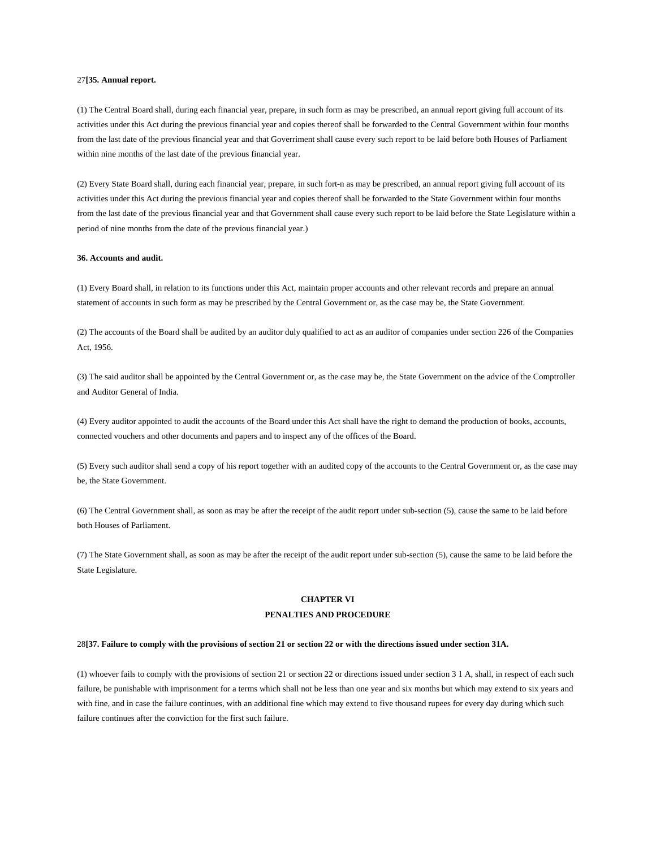#### 27**[35. Annual report.**

(1) The Central Board shall, during each financial year, prepare, in such form as may be prescribed, an annual report giving full account of its activities under this Act during the previous financial year and copies thereof shall be forwarded to the Central Government within four months from the last date of the previous financial year and that Goverriment shall cause every such report to be laid before both Houses of Parliament within nine months of the last date of the previous financial year.

(2) Every State Board shall, during each financial year, prepare, in such fort-n as may be prescribed, an annual report giving full account of its activities under this Act during the previous financial year and copies thereof shall be forwarded to the State Government within four months from the last date of the previous financial year and that Government shall cause every such report to be laid before the State Legislature within a period of nine months from the date of the previous financial year.)

### **36. Accounts and audit.**

(1) Every Board shall, in relation to its functions under this Act, maintain proper accounts and other relevant records and prepare an annual statement of accounts in such form as may be prescribed by the Central Government or, as the case may be, the State Government.

(2) The accounts of the Board shall be audited by an auditor duly qualified to act as an auditor of companies under section 226 of the Companies Act, 1956.

(3) The said auditor shall be appointed by the Central Government or, as the case may be, the State Government on the advice of the Comptroller and Auditor General of India.

(4) Every auditor appointed to audit the accounts of the Board under this Act shall have the right to demand the production of books, accounts, connected vouchers and other documents and papers and to inspect any of the offices of the Board.

(5) Every such auditor shall send a copy of his report together with an audited copy of the accounts to the Central Government or, as the case may be, the State Government.

(6) The Central Government shall, as soon as may be after the receipt of the audit report under sub-section (5), cause the same to be laid before both Houses of Parliament.

(7) The State Government shall, as soon as may be after the receipt of the audit report under sub-section (5), cause the same to be laid before the State Legislature.

### **CHAPTER VI**

### **PENALTIES AND PROCEDURE**

#### 28**[37. Failure to comply with the provisions of section 21 or section 22 or with the directions issued under section 31A.**

(1) whoever fails to comply with the provisions of section 21 or section 22 or directions issued under section 3 1 A, shall, in respect of each such failure, be punishable with imprisonment for a terms which shall not be less than one year and six months but which may extend to six years and with fine, and in case the failure continues, with an additional fine which may extend to five thousand rupees for every day during which such failure continues after the conviction for the first such failure.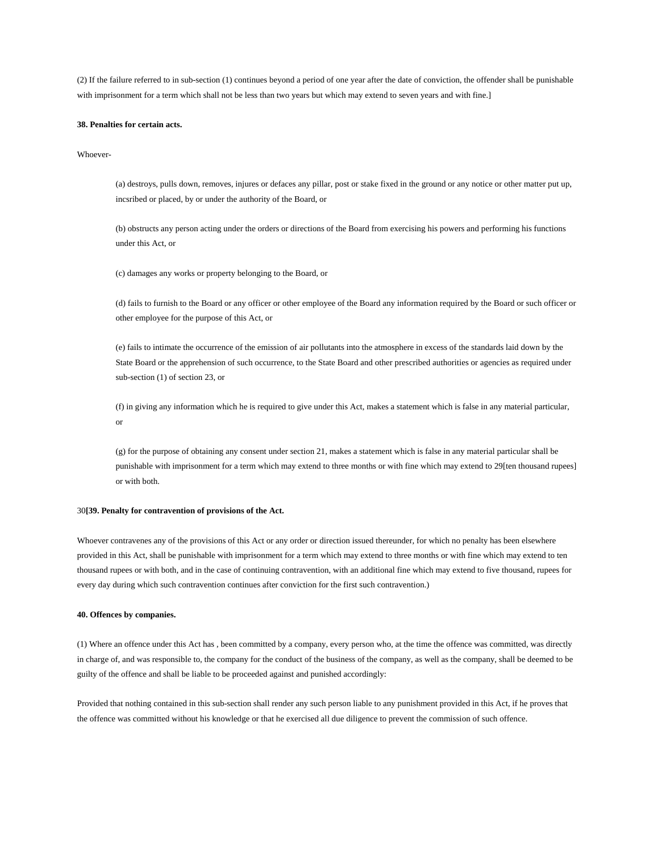(2) If the failure referred to in sub-section (1) continues beyond a period of one year after the date of conviction, the offender shall be punishable with imprisonment for a term which shall not be less than two years but which may extend to seven years and with fine.]

#### **38. Penalties for certain acts.**

Whoever-

(a) destroys, pulls down, removes, injures or defaces any pillar, post or stake fixed in the ground or any notice or other matter put up, incsribed or placed, by or under the authority of the Board, or

(b) obstructs any person acting under the orders or directions of the Board from exercising his powers and performing his functions under this Act, or

(c) damages any works or property belonging to the Board, or

(d) fails to furnish to the Board or any officer or other employee of the Board any information required by the Board or such officer or other employee for the purpose of this Act, or

(e) fails to intimate the occurrence of the emission of air pollutants into the atmosphere in excess of the standards laid down by the State Board or the apprehension of such occurrence, to the State Board and other prescribed authorities or agencies as required under sub-section (1) of section 23, or

(f) in giving any information which he is required to give under this Act, makes a statement which is false in any material particular, or

(g) for the purpose of obtaining any consent under section 21, makes a statement which is false in any material particular shall be punishable with imprisonment for a term which may extend to three months or with fine which may extend to 29[ten thousand rupees] or with both.

#### 30**[39. Penalty for contravention of provisions of the Act.**

Whoever contravenes any of the provisions of this Act or any order or direction issued thereunder, for which no penalty has been elsewhere provided in this Act, shall be punishable with imprisonment for a term which may extend to three months or with fine which may extend to ten thousand rupees or with both, and in the case of continuing contravention, with an additional fine which may extend to five thousand, rupees for every day during which such contravention continues after conviction for the first such contravention.)

#### **40. Offences by companies.**

(1) Where an offence under this Act has , been committed by a company, every person who, at the time the offence was committed, was directly in charge of, and was responsible to, the company for the conduct of the business of the company, as well as the company, shall be deemed to be guilty of the offence and shall be liable to be proceeded against and punished accordingly:

Provided that nothing contained in this sub-section shall render any such person liable to any punishment provided in this Act, if he proves that the offence was committed without his knowledge or that he exercised all due diligence to prevent the commission of such offence.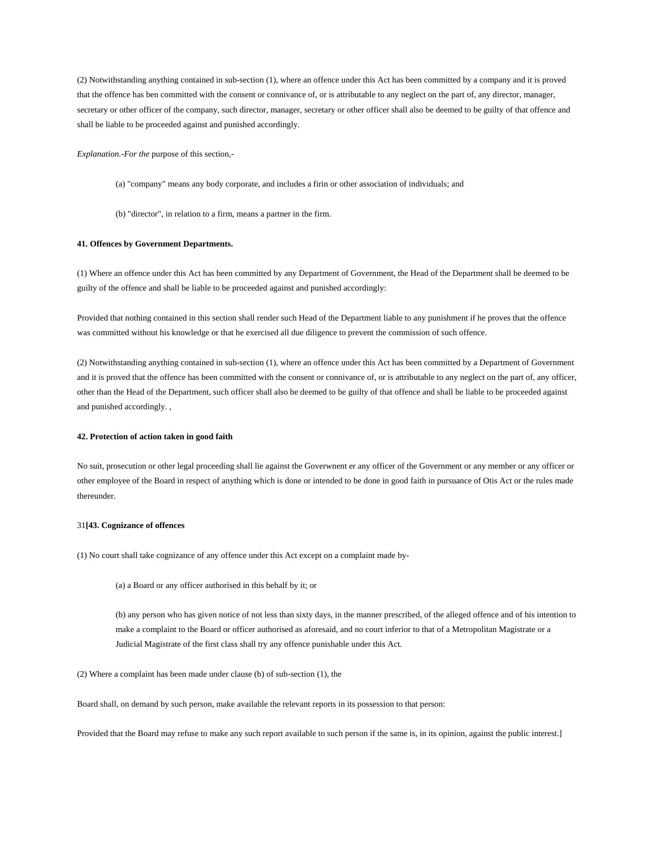(2) Notwithstanding anything contained in sub-section (1), where an offence under this Act has been committed by a company and it is proved that the offence has ben committed with the consent or connivance of, or is attributable to any neglect on the part of, any director, manager, secretary or other officer of the company, such director, manager, secretary or other officer shall also be deemed to be guilty of that offence and shall be liable to be proceeded against and punished accordingly.

*Explanation.-For the* purpose of this section,-

- (a) "company" means any body corporate, and includes a firin or other association of individuals; and
- (b) "director", in relation to a firm, means a partner in the firm.

#### **41. Offences by Government Departments.**

(1) Where an offence under this Act has been committed by any Department of Government, the Head of the Department shall be deemed to be guilty of the offence and shall be liable to be proceeded against and punished accordingly:

Provided that nothing contained in this section shall render such Head of the Department liable to any punishment if he proves that the offence was committed without his knowledge or that he exercised all due diligence to prevent the commission of such offence.

(2) Notwithstanding anything contained in sub-section (1), where an offence under this Act has been committed by a Department of Government and it is proved that the offence has been committed with the consent or connivance of, or is attributable to any neglect on the part of, any officer, other than the Head of the Department, such officer shall also be deemed to be guilty of that offence and shall be liable to be proceeded against and punished accordingly. ,

#### **42. Protection of action taken in good faith**

No suit, prosecution or other legal proceeding shall lie against the Goverwnent er any officer of the Government or any member or any officer or other employee of the Board in respect of anything which is done or intended to be done in good faith in pursuance of Otis Act or the rules made thereunder.

#### 31**[43. Cognizance of offences**

(1) No court shall take cognizance of any offence under this Act except on a complaint made by-

(a) a Board or any officer authorised in this behalf by it; or

(b) any person who has given notice of not less than sixty days, in the manner prescribed, of the alleged offence and of his intention to make a complaint to the Board or officer authorised as aforesaid, and no court inferior to that of a Metropolitan Magistrate or a Judicial Magistrate of the first class shall try any offence punishable under this Act.

(2) Where a complaint has been made under clause (b) of sub-section (1), the

Board shall, on demand by such person, make available the relevant reports in its possession to that person:

Provided that the Board may refuse to make any such report available to such person if the same is, in its opinion, against the public interest.]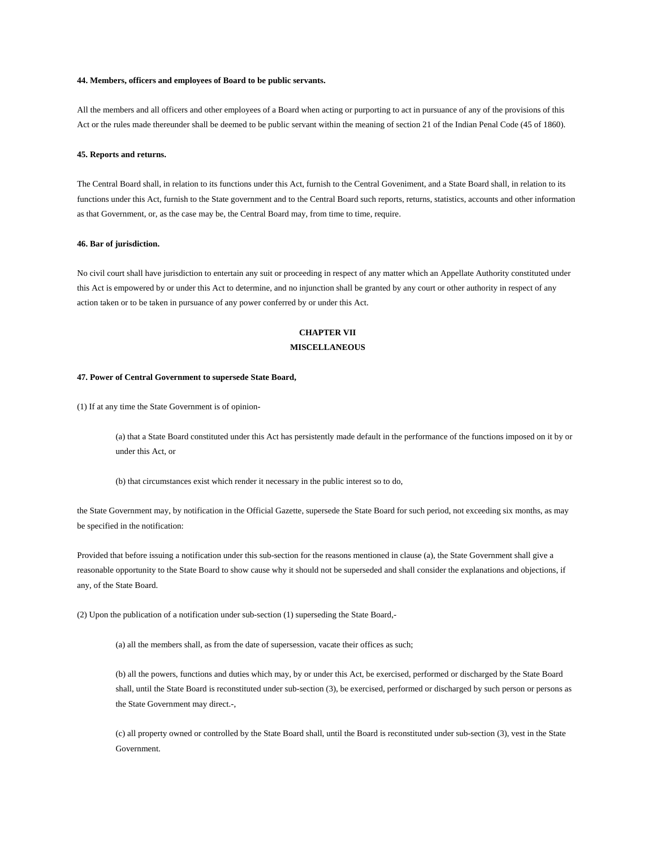#### **44. Members, officers and employees of Board to be public servants.**

All the members and all officers and other employees of a Board when acting or purporting to act in pursuance of any of the provisions of this Act or the rules made thereunder shall be deemed to be public servant within the meaning of section 21 of the Indian Penal Code (45 of 1860).

#### **45. Reports and returns.**

The Central Board shall, in relation to its functions under this Act, furnish to the Central Goveniment, and a State Board shall, in relation to its functions under this Act, furnish to the State government and to the Central Board such reports, returns, statistics, accounts and other information as that Government, or, as the case may be, the Central Board may, from time to time, require.

#### **46. Bar of jurisdiction.**

No civil court shall have jurisdiction to entertain any suit or proceeding in respect of any matter which an Appellate Authority constituted under this Act is empowered by or under this Act to determine, and no injunction shall be granted by any court or other authority in respect of any action taken or to be taken in pursuance of any power conferred by or under this Act.

# **CHAPTER VII MISCELLANEOUS**

# **47. Power of Central Government to supersede State Board,**

(1) If at any time the State Government is of opinion-

(a) that a State Board constituted under this Act has persistently made default in the performance of the functions imposed on it by or under this Act, or

(b) that circumstances exist which render it necessary in the public interest so to do,

the State Government may, by notification in the Official Gazette, supersede the State Board for such period, not exceeding six months, as may be specified in the notification:

Provided that before issuing a notification under this sub-section for the reasons mentioned in clause (a), the State Government shall give a reasonable opportunity to the State Board to show cause why it should not be superseded and shall consider the explanations and objections, if any, of the State Board.

(2) Upon the publication of a notification under sub-section (1) superseding the State Board,-

(a) all the members shall, as from the date of supersession, vacate their offices as such;

(b) all the powers, functions and duties which may, by or under this Act, be exercised, performed or discharged by the State Board shall, until the State Board is reconstituted under sub-section (3), be exercised, performed or discharged by such person or persons as the State Government may direct.-,

(c) all property owned or controlled by the State Board shall, until the Board is reconstituted under sub-section (3), vest in the State Government.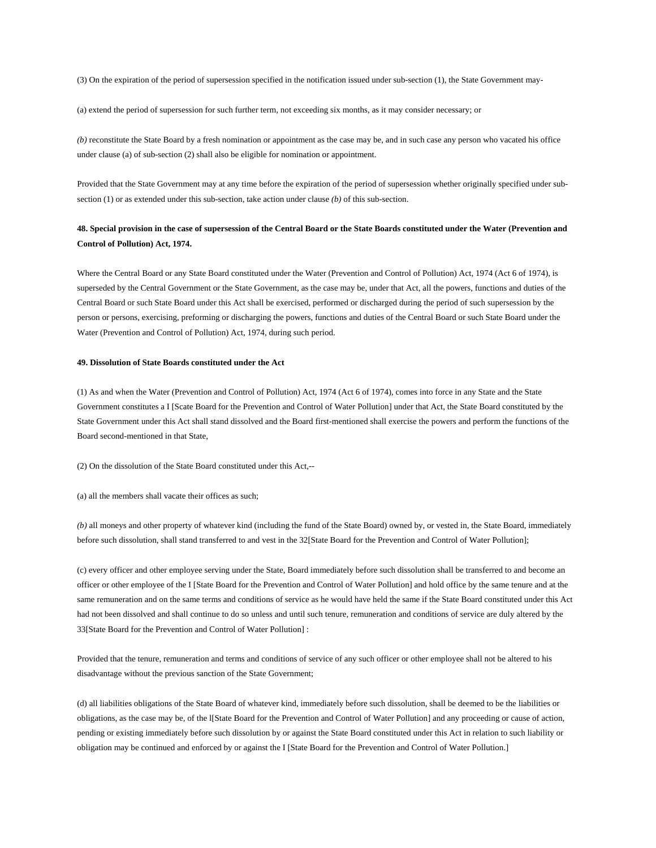(3) On the expiration of the period of supersession specified in the notification issued under sub-section (1), the State Government may-

(a) extend the period of supersession for such further term, not exceeding six months, as it may consider necessary; or

*(b)* reconstitute the State Board by a fresh nomination or appointment as the case may be, and in such case any person who vacated his office under clause (a) of sub-section (2) shall also be eligible for nomination or appointment.

Provided that the State Government may at any time before the expiration of the period of supersession whether originally specified under subsection (1) or as extended under this sub-section, take action under clause *(b)* of this sub-section.

# **48. Special provision in the case of supersession of the Central Board or the State Boards constituted under the Water (Prevention and Control of Pollution) Act, 1974.**

Where the Central Board or any State Board constituted under the Water (Prevention and Control of Pollution) Act, 1974 (Act 6 of 1974), is superseded by the Central Government or the State Government, as the case may be, under that Act, all the powers, functions and duties of the Central Board or such State Board under this Act shall be exercised, performed or discharged during the period of such supersession by the person or persons, exercising, preforming or discharging the powers, functions and duties of the Central Board or such State Board under the Water (Prevention and Control of Pollution) Act, 1974, during such period.

#### **49. Dissolution of State Boards constituted under the Act**

(1) As and when the Water (Prevention and Control of Pollution) Act, 1974 (Act 6 of 1974), comes into force in any State and the State Government constitutes a I [Scate Board for the Prevention and Control of Water Pollution] under that Act, the State Board constituted by the State Government under this Act shall stand dissolved and the Board first-mentioned shall exercise the powers and perform the functions of the Board second-mentioned in that State,

(2) On the dissolution of the State Board constituted under this Act,--

(a) all the members shall vacate their offices as such;

*(b)* all moneys and other property of whatever kind (including the fund of the State Board) owned by, or vested in, the State Board, immediately before such dissolution, shall stand transferred to and vest in the 32[State Board for the Prevention and Control of Water Pollution];

(c) every officer and other employee serving under the State, Board immediately before such dissolution shall be transferred to and become an officer or other employee of the I [State Board for the Prevention and Control of Water Pollution] and hold office by the same tenure and at the same remuneration and on the same terms and conditions of service as he would have held the same if the State Board constituted under this Act had not been dissolved and shall continue to do so unless and until such tenure, remuneration and conditions of service are duly altered by the 33[State Board for the Prevention and Control of Water Pollution] :

Provided that the tenure, remuneration and terms and conditions of service of any such officer or other employee shall not be altered to his disadvantage without the previous sanction of the State Government;

(d) all liabilities obligations of the State Board of whatever kind, immediately before such dissolution, shall be deemed to be the liabilities or obligations, as the case may be, of the l[State Board for the Prevention and Control of Water Pollution] and any proceeding or cause of action, pending or existing immediately before such dissolution by or against the State Board constituted under this Act in relation to such liability or obligation may be continued and enforced by or against the I [State Board for the Prevention and Control of Water Pollution.]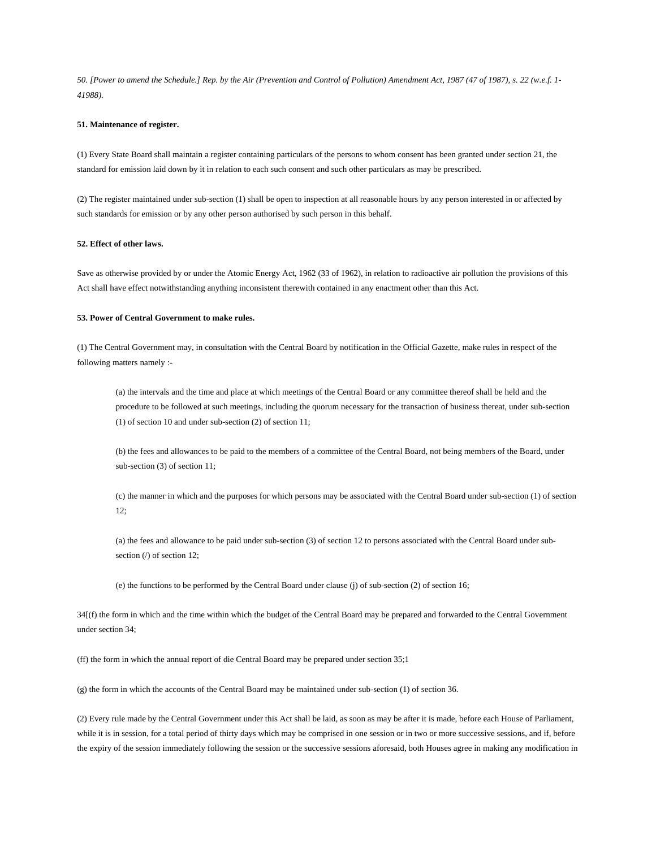*50. [Power to amend the Schedule.] Rep. by the Air (Prevention and Control of Pollution) Amendment Act, 1987 (47 of 1987), s. 22 (w.e.f. 1- 41988).* 

#### **51. Maintenance of register.**

(1) Every State Board shall maintain a register containing particulars of the persons to whom consent has been granted under section 21, the standard for emission laid down by it in relation to each such consent and such other particulars as may be prescribed.

(2) The register maintained under sub-section (1) shall be open to inspection at all reasonable hours by any person interested in or affected by such standards for emission or by any other person authorised by such person in this behalf.

#### **52. Effect of other laws.**

Save as otherwise provided by or under the Atomic Energy Act, 1962 (33 of 1962), in relation to radioactive air pollution the provisions of this Act shall have effect notwithstanding anything inconsistent therewith contained in any enactment other than this Act.

### **53. Power of Central Government to make rules.**

(1) The Central Government may, in consultation with the Central Board by notification in the Official Gazette, make rules in respect of the following matters namely :-

(a) the intervals and the time and place at which meetings of the Central Board or any committee thereof shall be held and the procedure to be followed at such meetings, including the quorum necessary for the transaction of business thereat, under sub-section (1) of section 10 and under sub-section (2) of section 11;

(b) the fees and allowances to be paid to the members of a committee of the Central Board, not being members of the Board, under sub-section (3) of section 11;

(c) the manner in which and the purposes for which persons may be associated with the Central Board under sub-section (1) of section 12;

(a) the fees and allowance to be paid under sub-section (3) of section 12 to persons associated with the Central Board under subsection (/) of section 12;

(e) the functions to be performed by the Central Board under clause (j) of sub-section (2) of section 16;

34[(f) the form in which and the time within which the budget of the Central Board may be prepared and forwarded to the Central Government under section 34;

(ff) the form in which the annual report of die Central Board may be prepared under section 35;1

(g) the form in which the accounts of the Central Board may be maintained under sub-section (1) of section 36.

(2) Every rule made by the Central Government under this Act shall be laid, as soon as may be after it is made, before each House of Parliament, while it is in session, for a total period of thirty days which may be comprised in one session or in two or more successive sessions, and if, before the expiry of the session immediately following the session or the successive sessions aforesaid, both Houses agree in making any modification in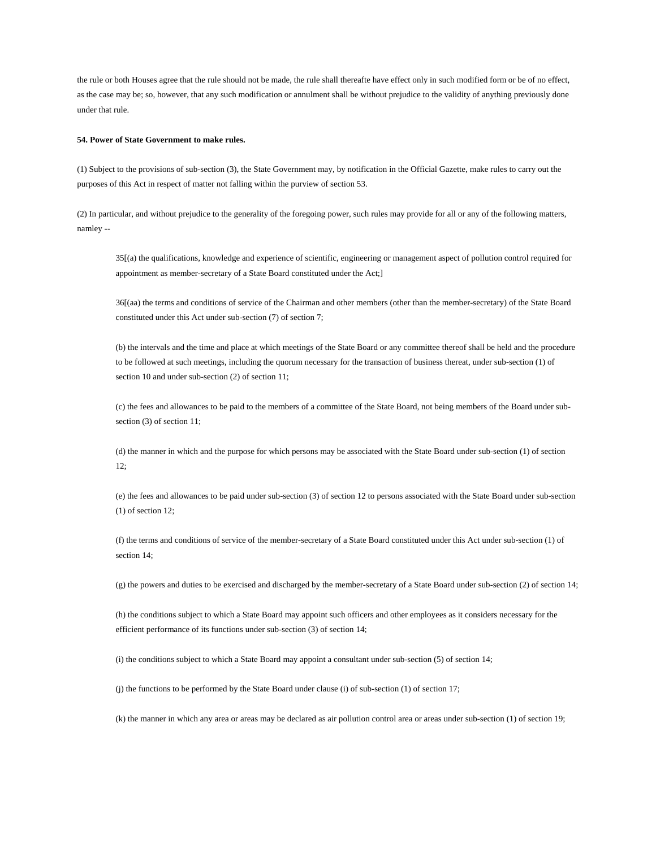the rule or both Houses agree that the rule should not be made, the rule shall thereafte have effect only in such modified form or be of no effect, as the case may be; so, however, that any such modification or annulment shall be without prejudice to the validity of anything previously done under that rule.

#### **54. Power of State Government to make rules.**

(1) Subject to the provisions of sub-section (3), the State Government may, by notification in the Official Gazette, make rules to carry out the purposes of this Act in respect of matter not falling within the purview of section 53.

(2) In particular, and without prejudice to the generality of the foregoing power, such rules may provide for all or any of the following matters, namley --

35[(a) the qualifications, knowledge and experience of scientific, engineering or management aspect of pollution control required for appointment as member-secretary of a State Board constituted under the Act;]

36[(aa) the terms and conditions of service of the Chairman and other members (other than the member-secretary) of the State Board constituted under this Act under sub-section (7) of section 7;

(b) the intervals and the time and place at which meetings of the State Board or any committee thereof shall be held and the procedure to be followed at such meetings, including the quorum necessary for the transaction of business thereat, under sub-section (1) of section 10 and under sub-section (2) of section 11;

(c) the fees and allowances to be paid to the members of a committee of the State Board, not being members of the Board under subsection (3) of section 11;

(d) the manner in which and the purpose for which persons may be associated with the State Board under sub-section (1) of section 12;

(e) the fees and allowances to be paid under sub-section (3) of section 12 to persons associated with the State Board under sub-section (1) of section 12;

(f) the terms and conditions of service of the member-secretary of a State Board constituted under this Act under sub-section (1) of section 14;

(g) the powers and duties to be exercised and discharged by the member-secretary of a State Board under sub-section (2) of section 14;

(h) the conditions subject to which a State Board may appoint such officers and other employees as it considers necessary for the efficient performance of its functions under sub-section (3) of section 14;

(i) the conditions subject to which a State Board may appoint a consultant under sub-section (5) of section 14;

(j) the functions to be performed by the State Board under clause (i) of sub-section (1) of section 17;

(k) the manner in which any area or areas may be declared as air pollution control area or areas under sub-section (1) of section 19;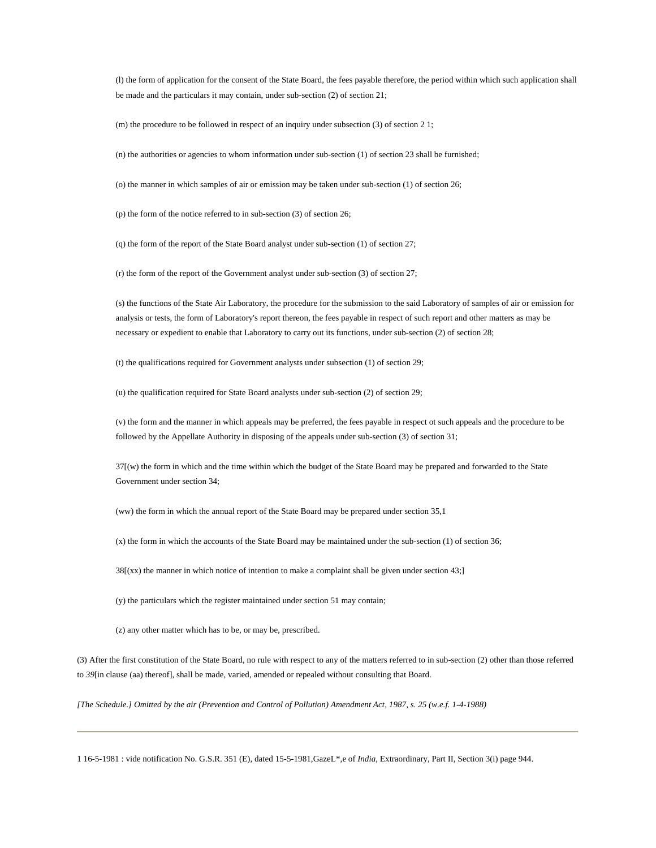(l) the form of application for the consent of the State Board, the fees payable therefore, the period within which such application shall be made and the particulars it may contain, under sub-section (2) of section 21;

(m) the procedure to be followed in respect of an inquiry under subsection (3) of section 2 1;

(n) the authorities or agencies to whom information under sub-section (1) of section 23 shall be furnished;

(o) the manner in which samples of air or emission may be taken under sub-section (1) of section 26;

(p) the form of the notice referred to in sub-section (3) of section 26;

(q) the form of the report of the State Board analyst under sub-section (1) of section 27;

(r) the form of the report of the Government analyst under sub-section (3) of section 27;

(s) the functions of the State Air Laboratory, the procedure for the submission to the said Laboratory of samples of air or emission for analysis or tests, the form of Laboratory's report thereon, the fees payable in respect of such report and other matters as may be necessary or expedient to enable that Laboratory to carry out its functions, under sub-section (2) of section 28;

(t) the qualifications required for Government analysts under subsection (1) of section 29;

(u) the qualification required for State Board analysts under sub-section (2) of section 29;

(v) the form and the manner in which appeals may be preferred, the fees payable in respect ot such appeals and the procedure to be followed by the Appellate Authority in disposing of the appeals under sub-section (3) of section 31;

37[(w) the form in which and the time within which the budget of the State Board may be prepared and forwarded to the State Government under section 34;

(ww) the form in which the annual report of the State Board may be prepared under section 35,1

(x) the form in which the accounts of the State Board may be maintained under the sub-section (1) of section 36;

38[(xx) the manner in which notice of intention to make a complaint shall be given under section 43;]

(y) the particulars which the register maintained under section 51 may contain;

(z) any other matter which has to be, or may be, prescribed.

(3) After the first constitution of the State Board, no rule with respect to any of the matters referred to in sub-section (2) other than those referred to *39*[in clause (aa) thereof], shall be made, varied, amended or repealed without consulting that Board.

*[The Schedule.] Omitted by the air (Prevention and Control of Pollution) Amendment Act, 1987, s. 25 (w.e.f. 1-4-1988)* 

1 16-5-1981 : vide notification No. G.S.R. 351 (E), dated 15-5-1981,GazeL\*,e of *India,* Extraordinary, Part II, Section 3(i) page 944.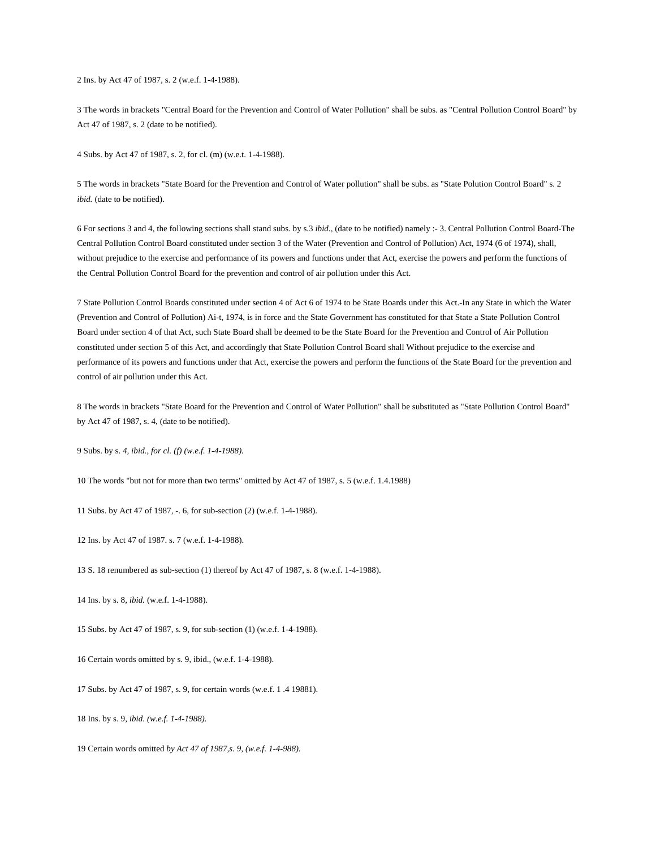2 Ins. by Act 47 of 1987, s. 2 (w.e.f. 1-4-1988).

3 The words in brackets "Central Board for the Prevention and Control of Water Pollution" shall be subs. as "Central Pollution Control Board" by Act 47 of 1987, s. 2 (date to be notified).

4 Subs. by Act 47 of 1987, s. 2, for cl. (m) (w.e.t. 1-4-1988).

5 The words in brackets "State Board for the Prevention and Control of Water pollution" shall be subs. as "State Polution Control Board" s. 2 *ibid.* (date to be notified).

6 For sections 3 and 4, the following sections shall stand subs. by s.3 *ibid.,* (date to be notified) namely :- 3. Central Pollution Control Board-The Central Pollution Control Board constituted under section 3 of the Water (Prevention and Control of Pollution) Act, 1974 (6 of 1974), shall, without prejudice to the exercise and performance of its powers and functions under that Act, exercise the powers and perform the functions of the Central Pollution Control Board for the prevention and control of air pollution under this Act.

7 State Pollution Control Boards constituted under section 4 of Act 6 of 1974 to be State Boards under this Act.-In any State in which the Water (Prevention and Control of Pollution) Ai-t, 1974, is in force and the State Government has constituted for that State a State Pollution Control Board under section 4 of that Act, such State Board shall be deemed to be the State Board for the Prevention and Control of Air Pollution constituted under section 5 of this Act, and accordingly that State Pollution Control Board shall Without prejudice to the exercise and performance of its powers and functions under that Act, exercise the powers and perform the functions of the State Board for the prevention and control of air pollution under this Act.

8 The words in brackets "State Board for the Prevention and Control of Water Pollution" shall be substituted as "State Pollution Control Board" by Act 47 of 1987, s. 4, (date to be notified).

9 Subs. by s. *4, ibid., for cl. (f) (w.e.f. 1-4-1988).*

10 The words "but not for more than two terms" omitted by Act 47 of 1987, s. 5 (w.e.f. 1.4.1988)

11 Subs. by Act 47 of 1987, -. 6, for sub-section (2) (w.e.f. 1-4-1988).

12 Ins. by Act 47 of 1987. s. 7 (w.e.f. 1-4-1988).

13 S. 18 renumbered as sub-section (1) thereof by Act 47 of 1987, s. 8 (w.e.f. 1-4-1988).

14 Ins. by s. 8, *ibid.* (w.e.f. 1-4-1988).

15 Subs. by Act 47 of 1987, s. 9, for sub-section (1) (w.e.f. 1-4-1988).

16 Certain words omitted by s. 9, ibid., (w.e.f. 1-4-1988).

17 Subs. by Act 47 of 1987, s. 9, for certain words (w.e.f. 1 .4 19881).

18 Ins. by s. 9, *ibid. (w.e.f. 1-4-1988).*

19 Certain words omitted *by Act 47 of 1987,s. 9, (w.e.f. 1-4-988).*